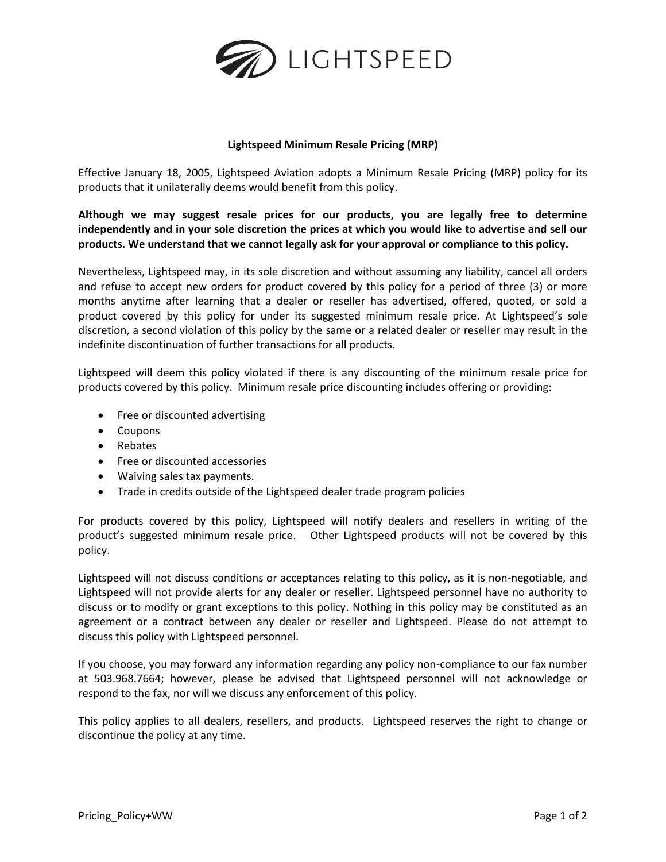

## **Lightspeed Minimum Resale Pricing (MRP)**

Effective January 18, 2005, Lightspeed Aviation adopts a Minimum Resale Pricing (MRP) policy for its products that it unilaterally deems would benefit from this policy.

**Although we may suggest resale prices for our products, you are legally free to determine independently and in your sole discretion the prices at which you would like to advertise and sell our products. We understand that we cannot legally ask for your approval or compliance to this policy.**

Nevertheless, Lightspeed may, in its sole discretion and without assuming any liability, cancel all orders and refuse to accept new orders for product covered by this policy for a period of three (3) or more months anytime after learning that a dealer or reseller has advertised, offered, quoted, or sold a product covered by this policy for under its suggested minimum resale price. At Lightspeed's sole discretion, a second violation of this policy by the same or a related dealer or reseller may result in the indefinite discontinuation of further transactions for all products.

Lightspeed will deem this policy violated if there is any discounting of the minimum resale price for products covered by this policy. Minimum resale price discounting includes offering or providing:

- Free or discounted advertising
- Coupons
- Rebates
- Free or discounted accessories
- Waiving sales tax payments.
- Trade in credits outside of the Lightspeed dealer trade program policies

For products covered by this policy, Lightspeed will notify dealers and resellers in writing of the product's suggested minimum resale price. Other Lightspeed products will not be covered by this policy.

Lightspeed will not discuss conditions or acceptances relating to this policy, as it is non-negotiable, and Lightspeed will not provide alerts for any dealer or reseller. Lightspeed personnel have no authority to discuss or to modify or grant exceptions to this policy. Nothing in this policy may be constituted as an agreement or a contract between any dealer or reseller and Lightspeed. Please do not attempt to discuss this policy with Lightspeed personnel.

If you choose, you may forward any information regarding any policy non-compliance to our fax number at 503.968.7664; however, please be advised that Lightspeed personnel will not acknowledge or respond to the fax, nor will we discuss any enforcement of this policy.

This policy applies to all dealers, resellers, and products. Lightspeed reserves the right to change or discontinue the policy at any time.